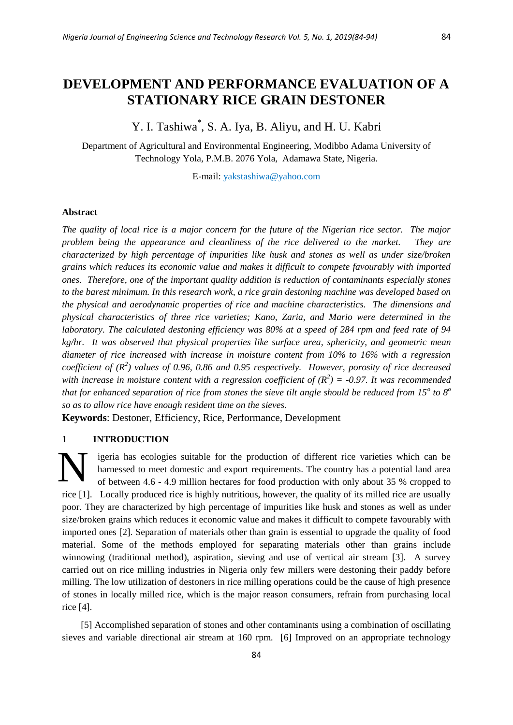Y. I. Tashiwa\* , S. A. Iya, B. Aliyu, and H. U. Kabri

Department of Agricultural and Environmental Engineering, Modibbo Adama University of Technology Yola, P.M.B. 2076 Yola, Adamawa State, Nigeria.

E-mail: yakstashiwa@yahoo.com

#### **Abstract**

*The quality of local rice is a major concern for the future of the Nigerian rice sector. The major problem being the appearance and cleanliness of the rice delivered to the market. They are characterized by high percentage of impurities like husk and stones as well as under size/broken grains which reduces its economic value and makes it difficult to compete favourably with imported ones. Therefore, one of the important quality addition is reduction of contaminants especially stones to the barest minimum. In this research work, a rice grain destoning machine was developed based on the physical and aerodynamic properties of rice and machine characteristics. The dimensions and physical characteristics of three rice varieties; Kano, Zaria, and Mario were determined in the laboratory. The calculated destoning efficiency was 80% at a speed of 284 rpm and feed rate of 94 kg/hr. It was observed that physical properties like surface area, sphericity, and geometric mean diameter of rice increased with increase in moisture content from 10% to 16% with a regression coefficient of (R<sup>2</sup> ) values of 0.96, 0.86 and 0.95 respectively. However, porosity of rice decreased*  with increase in moisture content with a regression coefficient of  $(R^2) = -0.97$ . It was recommended *that for enhanced separation of rice from stones the sieve tilt angle should be reduced from 15<sup>o</sup> to 8<sup>o</sup> so as to allow rice have enough resident time on the sieves.*

**Keywords**: Destoner, Efficiency, Rice, Performance, Development

## **1 INTRODUCTION**

igeria has ecologies suitable for the production of different rice varieties which can be harnessed to meet domestic and export requirements. The country has a potential land area of between 4.6 - 4.9 million hectares for food production with only about 35 % cropped to rice [1]. Locally produced rice is highly nutritious, however, the quality of its milled rice are usually poor. They are characterized by high percentage of impurities like husk and stones as well as under size/broken grains which reduces it economic value and makes it difficult to compete favourably with imported ones [2]. Separation of materials other than grain is essential to upgrade the quality of food material. Some of the methods employed for separating materials other than grains include winnowing (traditional method), aspiration, sieving and use of vertical air stream [3]. A survey carried out on rice milling industries in Nigeria only few millers were destoning their paddy before milling. The low utilization of destoners in rice milling operations could be the cause of high presence of stones in locally milled rice, which is the major reason consumers, refrain from purchasing local rice [4]. N

[5] Accomplished separation of stones and other contaminants using a combination of oscillating sieves and variable directional air stream at 160 rpm. [6] Improved on an appropriate technology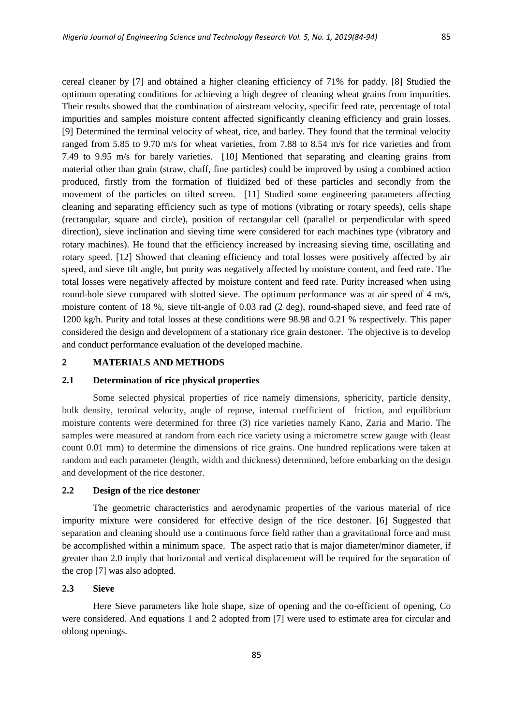cereal cleaner by [7] and obtained a higher cleaning efficiency of 71% for paddy. [8] Studied the optimum operating conditions for achieving a high degree of cleaning wheat grains from impurities. Their results showed that the combination of airstream velocity, specific feed rate, percentage of total impurities and samples moisture content affected significantly cleaning efficiency and grain losses. [9] Determined the terminal velocity of wheat, rice, and barley. They found that the terminal velocity ranged from 5.85 to 9.70 m/s for wheat varieties, from 7.88 to 8.54 m/s for rice varieties and from 7.49 to 9.95 m/s for barely varieties. [10] Mentioned that separating and cleaning grains from material other than grain (straw, chaff, fine particles) could be improved by using a combined action produced, firstly from the formation of fluidized bed of these particles and secondly from the movement of the particles on tilted screen. [11] Studied some engineering parameters affecting cleaning and separating efficiency such as type of motions (vibrating or rotary speeds), cells shape (rectangular, square and circle), position of rectangular cell (parallel or perpendicular with speed direction), sieve inclination and sieving time were considered for each machines type (vibratory and rotary machines). He found that the efficiency increased by increasing sieving time, oscillating and rotary speed. [12] Showed that cleaning efficiency and total losses were positively affected by air speed, and sieve tilt angle, but purity was negatively affected by moisture content, and feed rate. The total losses were negatively affected by moisture content and feed rate. Purity increased when using round-hole sieve compared with slotted sieve. The optimum performance was at air speed of 4 m/s, moisture content of 18 %, sieve tilt-angle of 0.03 rad (2 deg), round-shaped sieve, and feed rate of 1200 kg/h. Purity and total losses at these conditions were 98.98 and 0.21 % respectively. This paper considered the design and development of a stationary rice grain destoner. The objective is to develop and conduct performance evaluation of the developed machine.

## **2 MATERIALS AND METHODS**

#### **2.1 Determination of rice physical properties**

Some selected physical properties of rice namely dimensions, sphericity, particle density, bulk density, terminal velocity, angle of repose, internal coefficient of friction, and equilibrium moisture contents were determined for three (3) rice varieties namely Kano, Zaria and Mario. The samples were measured at random from each rice variety using a micrometre screw gauge with (least count 0.01 mm) to determine the dimensions of rice grains. One hundred replications were taken at random and each parameter (length, width and thickness) determined, before embarking on the design and development of the rice destoner.

#### **2.2 Design of the rice destoner**

The geometric characteristics and aerodynamic properties of the various material of rice impurity mixture were considered for effective design of the rice destoner. [6] Suggested that separation and cleaning should use a continuous force field rather than a gravitational force and must be accomplished within a minimum space. The aspect ratio that is major diameter/minor diameter, if greater than 2.0 imply that horizontal and vertical displacement will be required for the separation of the crop [7] was also adopted.

# **2.3 Sieve**

Here Sieve parameters like hole shape, size of opening and the co-efficient of opening, Co were considered. And equations 1 and 2 adopted from [7] were used to estimate area for circular and oblong openings.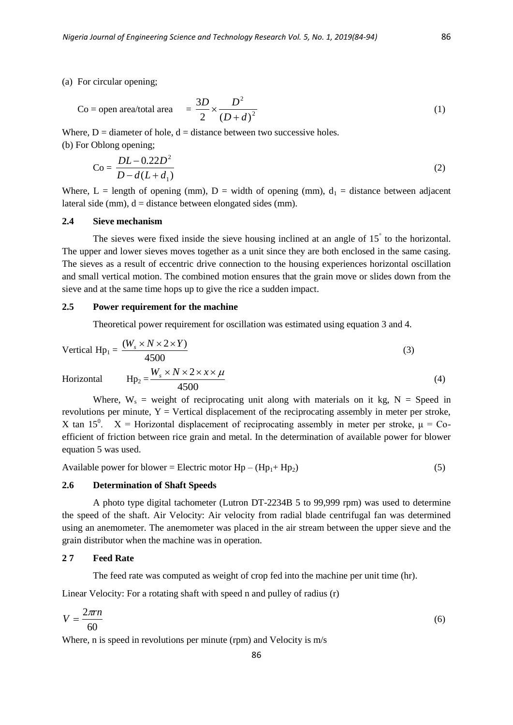(a) For circular opening;

$$
\text{Co} = \text{open area/total area} \quad = \frac{3D}{2} \times \frac{D^2}{(D+d)^2} \tag{1}
$$

Where,  $D =$  diameter of hole,  $d =$  distance between two successive holes.

(b) For Oblong opening;

$$
Co = \frac{DL - 0.22D^2}{D - d(L + d_1)}
$$
 (2)

Where, L = length of opening (mm), D = width of opening (mm),  $d_1$  = distance between adjacent lateral side (mm),  $d = distance$  between elongated sides (mm).

# **2.4 Sieve mechanism**

The sieves were fixed inside the sieve housing inclined at an angle of 15° to the horizontal. The upper and lower sieves moves together as a unit since they are both enclosed in the same casing. The sieves as a result of eccentric drive connection to the housing experiences horizontal oscillation and small vertical motion. The combined motion ensures that the grain move or slides down from the sieve and at the same time hops up to give the rice a sudden impact.

## **2.5 Power requirement for the machine**

Theoretical power requirement for oscillation was estimated using equation 3 and 4.

Vertical Hp<sub>1</sub> = 
$$
\frac{(W_s \times N \times 2 \times Y)}{4500}
$$
 (3)  
Horizontal Hp<sub>2</sub> =  $W_s \times N \times 2 \times x \times \mu$  (4)

Horizontal

where, W<sub>s</sub> = weight of reciprocating unit along with materials on it kg, N = Speed in  
revolutions per minute, Y = Vertical displacement of the reciprocating assembly in meter per stroke,  
X tan 15<sup>0</sup>. X = Horizontal displacement of reciprocating assembly in meter per stroke, 
$$
μ = Co
$$
-  
efficient of friction between rice grain and metal. In the determination of available power for blower  
equation 5 was used.

Available power for blower = Electric motor  $Hp - (Hp_1 + Hp_2)$  (5)

## **2.6 Determination of Shaft Speeds**

A photo type digital tachometer (Lutron DT-2234B 5 to 99,999 rpm) was used to determine the speed of the shaft. Air Velocity: Air velocity from radial blade centrifugal fan was determined using an anemometer. The anemometer was placed in the air stream between the upper sieve and the grain distributor when the machine was in operation.

## **2 7 Feed Rate**

The feed rate was computed as weight of crop fed into the machine per unit time (hr).

Linear Velocity: For a rotating shaft with speed n and pulley of radius (r)

$$
V = \frac{2\pi r}{60} \tag{6}
$$

Where, n is speed in revolutions per minute (rpm) and Velocity is m/s

(4)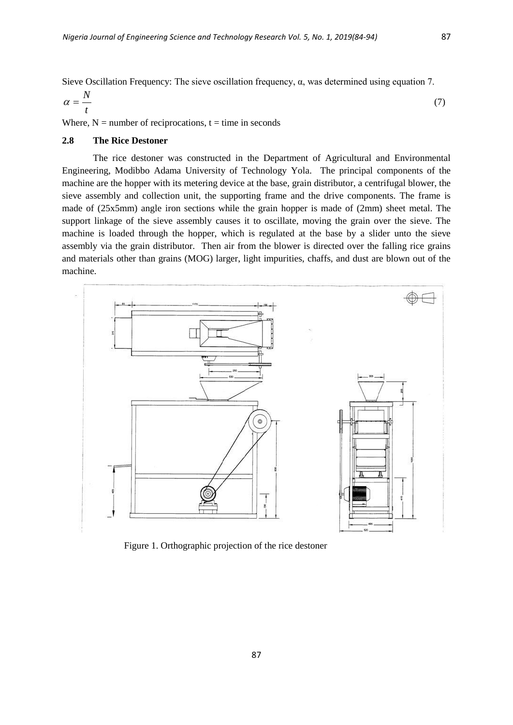Sieve Oscillation Frequency: The sieve oscillation frequency, α, was determined using equation 7.

$$
\alpha = \frac{N}{t} \tag{7}
$$

Where,  $N =$  number of reciprocations,  $t =$  time in seconds

# **2.8 The Rice Destoner**

The rice destoner was constructed in the Department of Agricultural and Environmental Engineering, Modibbo Adama University of Technology Yola. The principal components of the machine are the hopper with its metering device at the base, grain distributor, a centrifugal blower, the sieve assembly and collection unit, the supporting frame and the drive components. The frame is made of (25x5mm) angle iron sections while the grain hopper is made of (2mm) sheet metal. The support linkage of the sieve assembly causes it to oscillate, moving the grain over the sieve. The machine is loaded through the hopper, which is regulated at the base by a slider unto the sieve assembly via the grain distributor. Then air from the blower is directed over the falling rice grains and materials other than grains (MOG) larger, light impurities, chaffs, and dust are blown out of the machine.



Figure 1. Orthographic projection of the rice destoner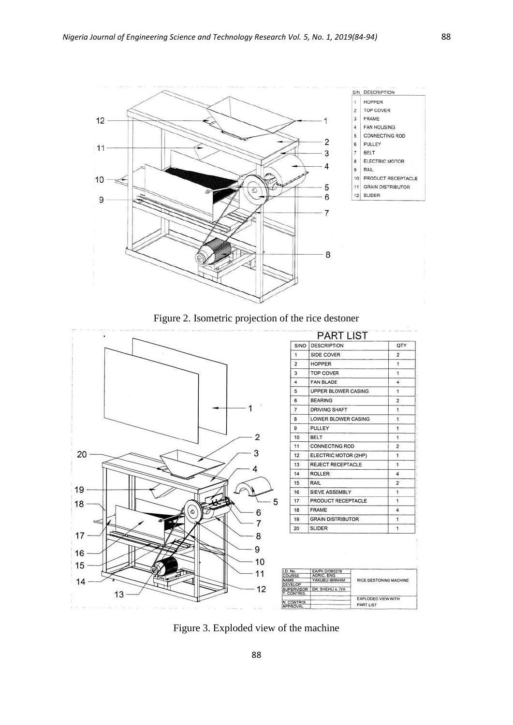

Figure 2. Isometric projection of the rice destoner



Figure 3. Exploded view of the machine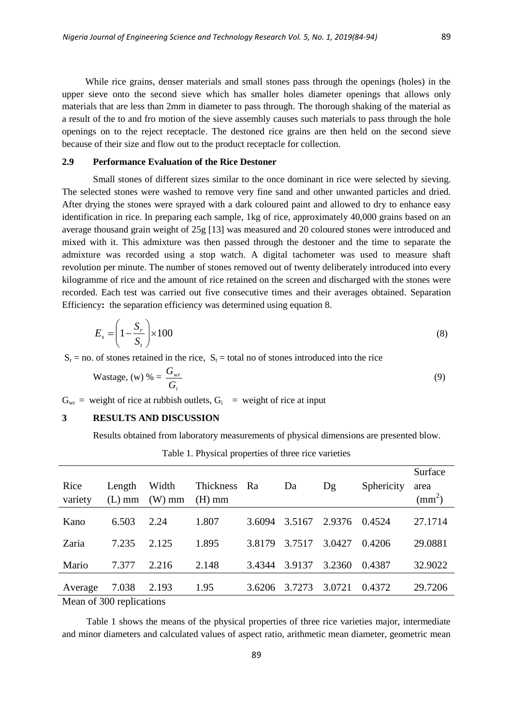While rice grains, denser materials and small stones pass through the openings (holes) in the upper sieve onto the second sieve which has smaller holes diameter openings that allows only materials that are less than 2mm in diameter to pass through. The thorough shaking of the material as a result of the to and fro motion of the sieve assembly causes such materials to pass through the hole openings on to the reject receptacle. The destoned rice grains are then held on the second sieve because of their size and flow out to the product receptacle for collection.

#### **2.9 Performance Evaluation of the Rice Destoner**

Small stones of different sizes similar to the once dominant in rice were selected by sieving. The selected stones were washed to remove very fine sand and other unwanted particles and dried. After drying the stones were sprayed with a dark coloured paint and allowed to dry to enhance easy identification in rice. In preparing each sample, 1kg of rice, approximately 40,000 grains based on an average thousand grain weight of 25g [13] was measured and 20 coloured stones were introduced and mixed with it. This admixture was then passed through the destoner and the time to separate the admixture was recorded using a stop watch. A digital tachometer was used to measure shaft revolution per minute. The number of stones removed out of twenty deliberately introduced into every kilogramme of rice and the amount of rice retained on the screen and discharged with the stones were recorded. Each test was carried out five consecutive times and their averages obtained. Separation Efficiency**:** the separation efficiency was determined using equation 8.

$$
E_s = \left(1 - \frac{S_r}{S_t}\right) \times 100\tag{8}
$$

 $S_r$  = no. of stones retained in the rice,  $S_t$  = total no of stones introduced into the rice

$$
\text{Wastage, (w) } \% = \frac{G_{wr}}{G_i} \tag{9}
$$

 $G_{wr}$  = weight of rice at rubbish outlets,  $G_i$  = weight of rice at input

## **3 RESULTS AND DISCUSSION**

Results obtained from laboratory measurements of physical dimensions are presented blow.

Table 1. Physical properties of three rice varieties

| Rice<br>variety          | Length<br>$(L)$ mm | Width<br>$(W)$ mm | <b>Thickness</b><br>$(H)$ mm | Ra     | Da     | Dg     | Sphericity | Surface<br>area<br>$\text{(mm}^2)$ |
|--------------------------|--------------------|-------------------|------------------------------|--------|--------|--------|------------|------------------------------------|
| Kano                     | 6.503              | 2.24              | 1.807                        | 3.6094 | 3.5167 | 2.9376 | 0.4524     | 27.1714                            |
| Zaria                    | 7.235              | 2.125             | 1.895                        | 3.8179 | 3.7517 | 3.0427 | 0.4206     | 29.0881                            |
| Mario                    | 7.377              | 2.216             | 2.148                        | 3.4344 | 3.9137 | 3.2360 | 0.4387     | 32.9022                            |
| Average                  | 7.038              | 2.193             | 1.95                         | 3.6206 | 3.7273 | 3.0721 | 0.4372     | 29.7206                            |
| Moon of 200 repliestions |                    |                   |                              |        |        |        |            |                                    |

Mean of 300 replications

Table 1 shows the means of the physical properties of three rice varieties major, intermediate and minor diameters and calculated values of aspect ratio, arithmetic mean diameter, geometric mean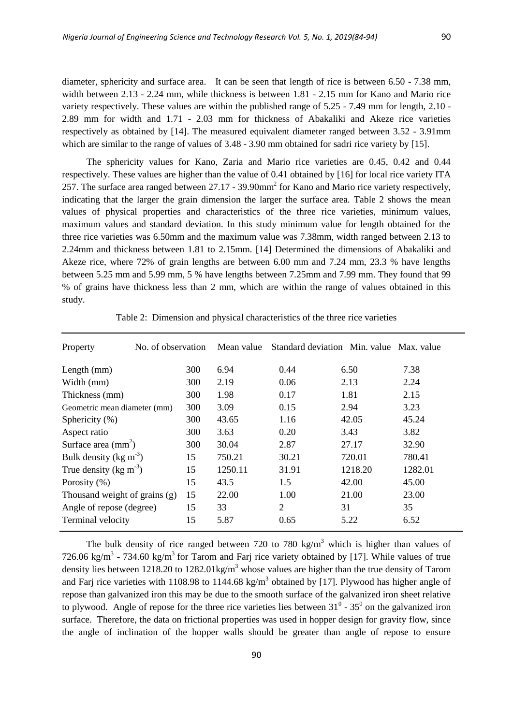diameter, sphericity and surface area. It can be seen that length of rice is between 6.50 - 7.38 mm, width between 2.13 - 2.24 mm, while thickness is between 1.81 - 2.15 mm for Kano and Mario rice variety respectively. These values are within the published range of 5.25 - 7.49 mm for length, 2.10 - 2.89 mm for width and 1.71 - 2.03 mm for thickness of Abakaliki and Akeze rice varieties respectively as obtained by [14]. The measured equivalent diameter ranged between 3.52 - 3.91mm which are similar to the range of values of  $3.48 - 3.90$  mm obtained for sadri rice variety by [15].

The sphericity values for Kano, Zaria and Mario rice varieties are 0.45, 0.42 and 0.44 respectively. These values are higher than the value of 0.41 obtained by [16] for local rice variety ITA 257. The surface area ranged between  $27.17 - 39.90$  mm<sup>2</sup> for Kano and Mario rice variety respectively, indicating that the larger the grain dimension the larger the surface area. Table 2 shows the mean values of physical properties and characteristics of the three rice varieties, minimum values, maximum values and standard deviation. In this study minimum value for length obtained for the three rice varieties was 6.50mm and the maximum value was 7.38mm, width ranged between 2.13 to 2.24mm and thickness between 1.81 to 2.15mm. [14] Determined the dimensions of Abakaliki and Akeze rice, where 72% of grain lengths are between 6.00 mm and 7.24 mm, 23.3 % have lengths between 5.25 mm and 5.99 mm, 5 % have lengths between 7.25mm and 7.99 mm. They found that 99 % of grains have thickness less than 2 mm, which are within the range of values obtained in this study.

| Property                            | No. of observation |     |         | Mean value Standard deviation Min. value Max. value |         |         |
|-------------------------------------|--------------------|-----|---------|-----------------------------------------------------|---------|---------|
| Length $(mm)$                       |                    | 300 | 6.94    | 0.44                                                | 6.50    | 7.38    |
| Width (mm)                          |                    | 300 | 2.19    | 0.06                                                | 2.13    | 2.24    |
| 300<br>Thickness (mm)               |                    |     | 1.98    | 0.17                                                | 1.81    | 2.15    |
| Geometric mean diameter (mm)        |                    | 300 | 3.09    | 0.15                                                | 2.94    | 3.23    |
| Sphericity (%)                      |                    | 300 | 43.65   | 1.16                                                | 42.05   | 45.24   |
| Aspect ratio                        |                    | 300 | 3.63    | 0.20                                                | 3.43    | 3.82    |
| Surface area $\text{(mm)}^2$ )      |                    | 300 | 30.04   | 2.87                                                | 27.17   | 32.90   |
| Bulk density ( $\text{kg m}^{-3}$ ) |                    | 15  | 750.21  | 30.21                                               | 720.01  | 780.41  |
| True density ( $\text{kg m}^{-3}$ ) |                    | 15  | 1250.11 | 31.91                                               | 1218.20 | 1282.01 |
| Porosity $(\%)$                     |                    | 15  | 43.5    | 1.5                                                 | 42.00   | 45.00   |
| Thousand weight of grains (g)       |                    | 15  | 22.00   | 1.00                                                | 21.00   | 23.00   |
| Angle of repose (degree)            |                    | 15  | 33      | $\overline{2}$                                      | 31      | 35      |
| Terminal velocity                   |                    | 15  | 5.87    | 0.65                                                | 5.22    | 6.52    |

Table 2: Dimension and physical characteristics of the three rice varieties

The bulk density of rice ranged between 720 to 780 kg/m<sup>3</sup> which is higher than values of 726.06 kg/m<sup>3</sup> - 734.60 kg/m<sup>3</sup> for Tarom and Farj rice variety obtained by [17]. While values of true density lies between 1218.20 to 1282.01kg/ $m<sup>3</sup>$  whose values are higher than the true density of Tarom and Farj rice varieties with 1108.98 to 1144.68 kg/m<sup>3</sup> obtained by [17]. Plywood has higher angle of repose than galvanized iron this may be due to the smooth surface of the galvanized iron sheet relative to plywood. Angle of repose for the three rice varieties lies between  $31^{\circ}$  -  $35^{\circ}$  on the galvanized iron surface. Therefore, the data on frictional properties was used in hopper design for gravity flow, since the angle of inclination of the hopper walls should be greater than angle of repose to ensure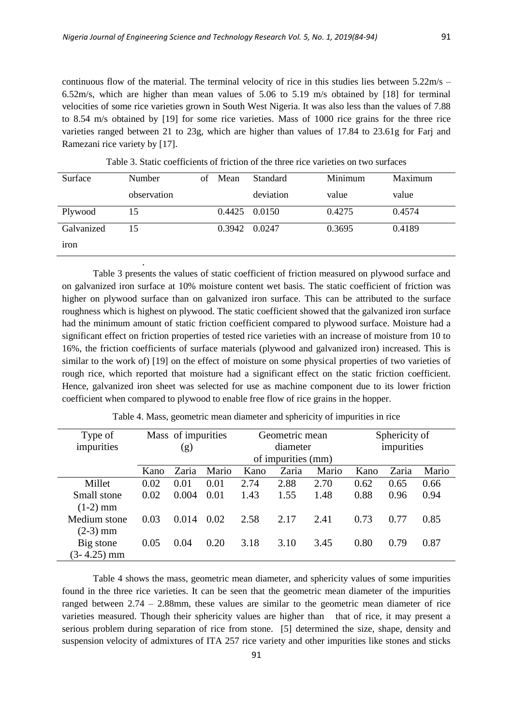.

continuous flow of the material. The terminal velocity of rice in this studies lies between  $5.22 \text{m/s}$  – 6.52m/s, which are higher than mean values of 5.06 to 5.19 m/s obtained by [18] for terminal velocities of some rice varieties grown in South West Nigeria. It was also less than the values of 7.88 to 8.54 m/s obtained by [19] for some rice varieties. Mass of 1000 rice grains for the three rice varieties ranged between 21 to 23g, which are higher than values of 17.84 to 23.61g for Farj and Ramezani rice variety by [17].

| Surface          | Number      |  | Mean          | <b>Standard</b> | Minimum | Maximum |  |
|------------------|-------------|--|---------------|-----------------|---------|---------|--|
|                  | observation |  |               | deviation       | value   | value   |  |
| Plywood          | 15          |  | 0.4425 0.0150 |                 | 0.4275  | 0.4574  |  |
| Galvanized       | 15          |  | 0.3942        | 0.0247          | 0.3695  | 0.4189  |  |
| <sub>1</sub> ron |             |  |               |                 |         |         |  |

Table 3. Static coefficients of friction of the three rice varieties on two surfaces

Table 3 presents the values of static coefficient of friction measured on plywood surface and on galvanized iron surface at 10% moisture content wet basis. The static coefficient of friction was higher on plywood surface than on galvanized iron surface. This can be attributed to the surface roughness which is highest on plywood. The static coefficient showed that the galvanized iron surface had the minimum amount of static friction coefficient compared to plywood surface. Moisture had a significant effect on friction properties of tested rice varieties with an increase of moisture from 10 to 16%, the friction coefficients of surface materials (plywood and galvanized iron) increased. This is similar to the work of) [19] on the effect of moisture on some physical properties of two varieties of rough rice, which reported that moisture had a significant effect on the static friction coefficient. Hence, galvanized iron sheet was selected for use as machine component due to its lower friction coefficient when compared to plywood to enable free flow of rice grains in the hopper.

| Type of       | Mass of impurities |       |       |      | Geometric mean     |       | Sphericity of |       |       |
|---------------|--------------------|-------|-------|------|--------------------|-------|---------------|-------|-------|
| impurities    | (g)                |       |       |      | diameter           |       | impurities    |       |       |
|               |                    |       |       |      | of impurities (mm) |       |               |       |       |
|               | Kano               | Zaria | Mario | Kano | Zaria              | Mario | Kano          | Zaria | Mario |
| Millet        | 0.02               | 0.01  | 0.01  | 2.74 | 2.88               | 2.70  | 0.62          | 0.65  | 0.66  |
| Small stone   | 0.02               | 0.004 | 0.01  | 1.43 | 1.55               | 1.48  | 0.88          | 0.96  | 0.94  |
| $(1-2)$ mm    |                    |       |       |      |                    |       |               |       |       |
| Medium stone  | 0.03               | 0.014 | 0.02  | 2.58 | 2.17               | 2.41  | 0.73          | 0.77  | 0.85  |
| $(2-3)$ mm    |                    |       |       |      |                    |       |               |       |       |
| Big stone     | 0.05               | 0.04  | 0.20  | 3.18 | 3.10               | 3.45  | 0.80          | 0.79  | 0.87  |
| $(3-4.25)$ mm |                    |       |       |      |                    |       |               |       |       |

Table 4. Mass, geometric mean diameter and sphericity of impurities in rice

Table 4 shows the mass, geometric mean diameter, and sphericity values of some impurities found in the three rice varieties. It can be seen that the geometric mean diameter of the impurities ranged between 2.74 – 2.88mm, these values are similar to the geometric mean diameter of rice varieties measured. Though their sphericity values are higher than that of rice, it may present a serious problem during separation of rice from stone. [5] determined the size, shape, density and suspension velocity of admixtures of ITA 257 rice variety and other impurities like stones and sticks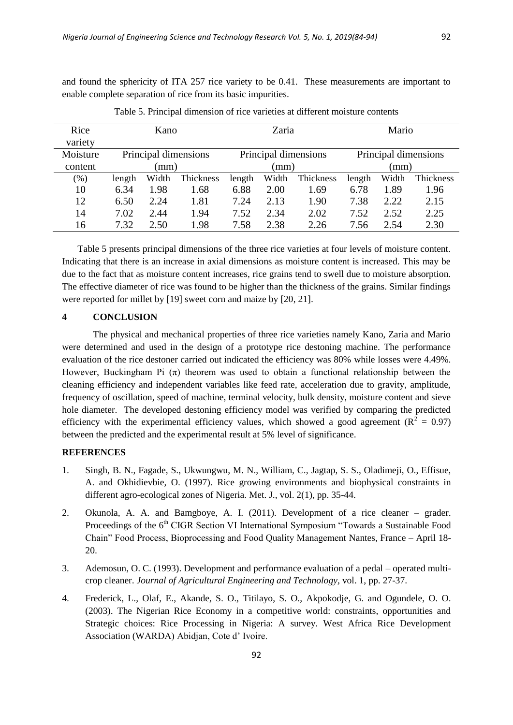and found the sphericity of ITA 257 rice variety to be 0.41. These measurements are important to enable complete separation of rice from its basic impurities.

| Rice     | Kano   |       |                      |        | Zaria |                      | Mario                |       |           |  |
|----------|--------|-------|----------------------|--------|-------|----------------------|----------------------|-------|-----------|--|
| variety  |        |       |                      |        |       |                      |                      |       |           |  |
| Moisture |        |       | Principal dimensions |        |       | Principal dimensions | Principal dimensions |       |           |  |
| content  |        | (mm)  |                      |        | (mm)  |                      | (mm)                 |       |           |  |
| $(\%)$   | length | Width | Thickness            | length | Width | Thickness            | length               | Width | Thickness |  |
| 10       | 6.34   | 1.98  | 1.68                 | 6.88   | 2.00  | 1.69                 | 6.78                 | 1.89  | 1.96      |  |
| 12       | 6.50   | 2.24  | 1.81                 | 7.24   | 2.13  | 1.90                 | 7.38                 | 2.22  | 2.15      |  |
| 14       | 7.02   | 2.44  | 1.94                 | 7.52   | 2.34  | 2.02                 | 7.52                 | 2.52  | 2.25      |  |
| 16       | 7.32   | 2.50  | 1.98                 | 7.58   | 2.38  | 2.26                 | 7.56                 | 2.54  | 2.30      |  |

Table 5. Principal dimension of rice varieties at different moisture contents

Table 5 presents principal dimensions of the three rice varieties at four levels of moisture content. Indicating that there is an increase in axial dimensions as moisture content is increased. This may be due to the fact that as moisture content increases, rice grains tend to swell due to moisture absorption. The effective diameter of rice was found to be higher than the thickness of the grains. Similar findings were reported for millet by [19] sweet corn and maize by [20, 21].

## **4 CONCLUSION**

The physical and mechanical properties of three rice varieties namely Kano, Zaria and Mario were determined and used in the design of a prototype rice destoning machine. The performance evaluation of the rice destoner carried out indicated the efficiency was 80% while losses were 4.49%. However, Buckingham Pi  $(\pi)$  theorem was used to obtain a functional relationship between the cleaning efficiency and independent variables like feed rate, acceleration due to gravity, amplitude, frequency of oscillation, speed of machine, terminal velocity, bulk density, moisture content and sieve hole diameter. The developed destoning efficiency model was verified by comparing the predicted efficiency with the experimental efficiency values, which showed a good agreement ( $R^2 = 0.97$ ) between the predicted and the experimental result at 5% level of significance.

# **REFERENCES**

- 1. Singh, B. N., Fagade, S., Ukwungwu, M. N., William, C., Jagtap, S. S., Oladimeji, O., Effisue, A. and Okhidievbie, O. (1997). Rice growing environments and biophysical constraints in different agro-ecological zones of Nigeria. Met. J., vol. 2(1), pp. 35-44.
- 2. Okunola, A. A. and Bamgboye, A. I. (2011). Development of a rice cleaner grader. Proceedings of the 6<sup>th</sup> CIGR Section VI International Symposium "Towards a Sustainable Food Chain" Food Process, Bioprocessing and Food Quality Management Nantes, France – April 18- 20.
- 3. Ademosun, O. C. (1993). Development and performance evaluation of a pedal operated multicrop cleaner. *Journal of Agricultural Engineering and Technology,* vol. 1, pp. 27-37.
- 4. Frederick, L., Olaf, E., Akande, S. O., Titilayo, S. O., Akpokodje, G. and Ogundele, O. O. (2003). The Nigerian Rice Economy in a competitive world: constraints, opportunities and Strategic choices: Rice Processing in Nigeria: A survey. West Africa Rice Development Association (WARDA) Abidjan, Cote d' Ivoire.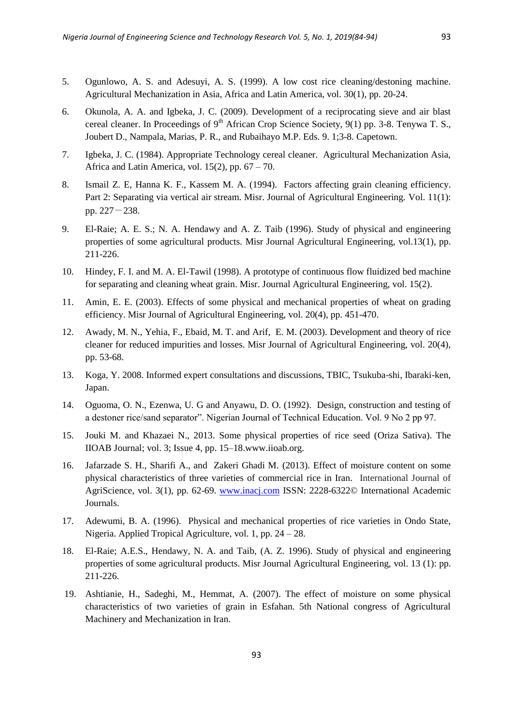- 5. Ogunlowo, A. S. and Adesuyi, A. S. (1999). A low cost rice cleaning/destoning machine. Agricultural Mechanization in Asia, Africa and Latin America, vol. 30(1), pp. 20-24.
- 6. Okunola, A. A. and Igbeka, J. C. (2009). Development of a reciprocating sieve and air blast cereal cleaner. In Proceedings of  $9<sup>th</sup>$  African Crop Science Society,  $9(1)$  pp. 3-8. Tenywa T. S., Joubert D., Nampala, Marias, P. R., and Rubaihayo M.P. Eds. 9. 1;3-8. Capetown.
- 7. Igbeka, J. C. (1984). Appropriate Technology cereal cleaner. Agricultural Mechanization Asia, Africa and Latin America, vol.  $15(2)$ , pp.  $67 - 70$ .
- 8. Ismail Z. E, Hanna K. F., Kassem M. A. (1994). Factors affecting grain cleaning efficiency. Part 2: Separating via vertical air stream. Misr. Journal of Agricultural Engineering. Vol. 11(1): pp. 227-238.
- 9. El-Raie; A. E. S.; N. A. Hendawy and A. Z. Taib (1996). Study of physical and engineering properties of some agricultural products. Misr Journal Agricultural Engineering, vol.13(1), pp. 211-226.
- 10. Hindey, F. I. and M. A. El-Tawil (1998). A prototype of continuous flow fluidized bed machine for separating and cleaning wheat grain. Misr. Journal Agricultural Engineering, vol. 15(2).
- 11. Amin, E. E. (2003). Effects of some physical and mechanical properties of wheat on grading efficiency. Misr Journal of Agricultural Engineering, vol. 20(4), pp. 451-470.
- 12. Awady, M. N., Yehia, F., Ebaid, M. T. and Arif, E. M. (2003). Development and theory of rice cleaner for reduced impurities and losses. Misr Journal of Agricultural Engineering, vol. 20(4), pp. 53-68.
- 13. Koga, Y. 2008. Informed expert consultations and discussions, TBIC, Tsukuba-shi, Ibaraki-ken, Japan.
- 14. Oguoma, O. N., Ezenwa, U. G and Anyawu, D. O. (1992). Design, construction and testing of a destoner rice/sand separator". Nigerian Journal of Technical Education. Vol. 9 No 2 pp 97.
- 15. Jouki M. and Khazaei N., 2013. Some physical properties of rice seed (Oriza Sativa). The IIOAB Journal; vol. 3; Issue 4, pp. 15–18.www.iioab.org.
- 16. Jafarzade S. H., Sharifi A., and Zakeri Ghadi M. (2013). Effect of moisture content on some physical characteristics of three varieties of commercial rice in Iran. International Journal of AgriScience, vol. 3(1), pp. 62-69. [www.inacj.com](http://www.inacj.com/) ISSN: 2228-6322© International Academic Journals.
- 17. Adewumi, B. A. (1996). Physical and mechanical properties of rice varieties in Ondo State, Nigeria. Applied Tropical Agriculture, vol. 1, pp. 24 – 28.
- 18. El-Raie; A.E.S., Hendawy, N. A. and Taib, (A. Z. 1996). Study of physical and engineering properties of some agricultural products. Misr Journal Agricultural Engineering, vol. 13 (1): pp. 211-226.
- 19. Ashtianie, H., Sadeghi, M., Hemmat, A. (2007). The effect of moisture on some physical characteristics of two varieties of grain in Esfahan. 5th National congress of Agricultural Machinery and Mechanization in Iran.